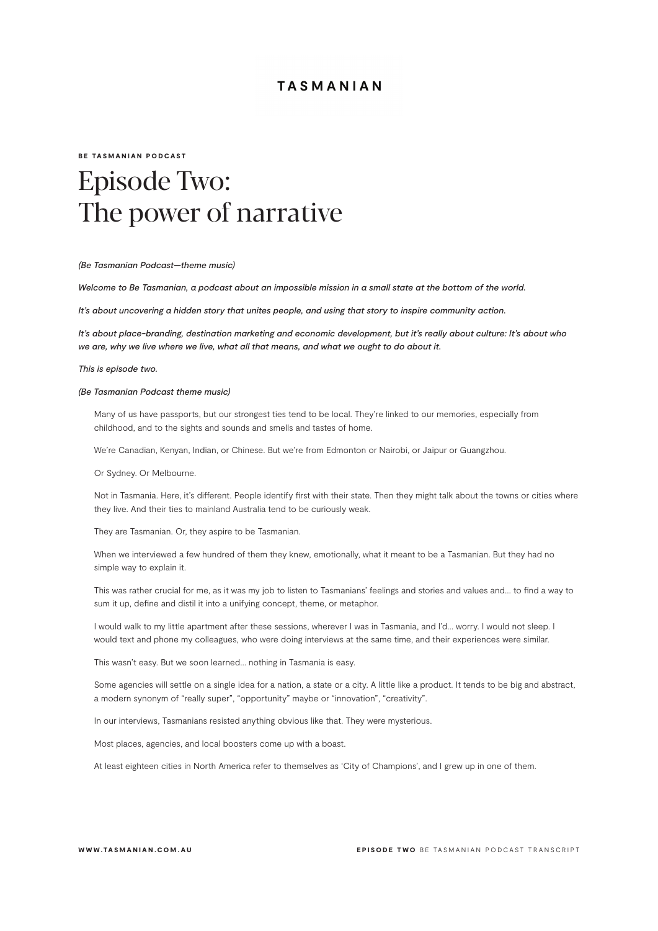### BE TASMANIAN PODCAST

# Episode Two: The power of narrative

#### *(Be Tasmanian Podcast—theme music)*

*Welcome to Be Tasmanian, a podcast about an impossible mission in a small state at the bottom of the world.*

*It's about uncovering a hidden story that unites people, and using that story to inspire community action.*

*It's about place-branding, destination marketing and economic development, but it's really about culture: It's about who we are, why we live where we live, what all that means, and what we ought to do about it.*

*This is episode two.*

### *(Be Tasmanian Podcast theme music)*

Many of us have passports, but our strongest ties tend to be local. They're linked to our memories, especially from childhood, and to the sights and sounds and smells and tastes of home.

We're Canadian, Kenyan, Indian, or Chinese. But we're from Edmonton or Nairobi, or Jaipur or Guangzhou.

Or Sydney. Or Melbourne.

Not in Tasmania. Here, it's different. People identify first with their state. Then they might talk about the towns or cities where they live. And their ties to mainland Australia tend to be curiously weak.

They are Tasmanian. Or, they aspire to be Tasmanian.

When we interviewed a few hundred of them they knew, emotionally, what it meant to be a Tasmanian. But they had no simple way to explain it.

This was rather crucial for me, as it was my job to listen to Tasmanians' feelings and stories and values and… to find a way to sum it up, define and distil it into a unifying concept, theme, or metaphor.

I would walk to my little apartment after these sessions, wherever I was in Tasmania, and I'd… worry. I would not sleep. I would text and phone my colleagues, who were doing interviews at the same time, and their experiences were similar.

This wasn't easy. But we soon learned... nothing in Tasmania is easy.

Some agencies will settle on a single idea for a nation, a state or a city. A little like a product. It tends to be big and abstract, a modern synonym of "really super", "opportunity" maybe or "innovation", "creativity".

In our interviews, Tasmanians resisted anything obvious like that. They were mysterious.

Most places, agencies, and local boosters come up with a boast.

At least eighteen cities in North America refer to themselves as 'City of Champions', and I grew up in one of them.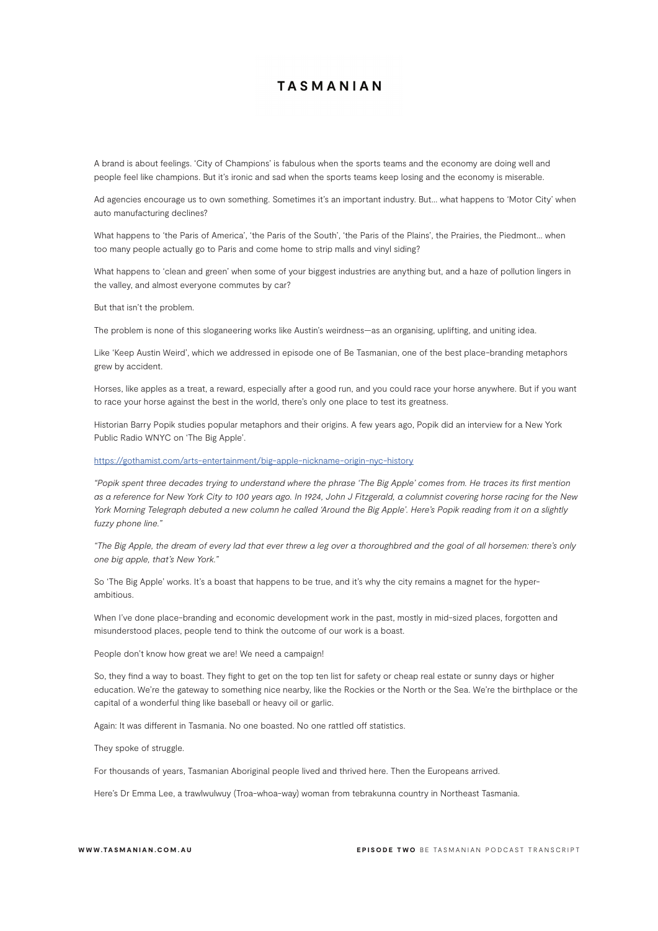A brand is about feelings. 'City of Champions' is fabulous when the sports teams and the economy are doing well and people feel like champions. But it's ironic and sad when the sports teams keep losing and the economy is miserable.

Ad agencies encourage us to own something. Sometimes it's an important industry. But… what happens to 'Motor City' when auto manufacturing declines?

What happens to 'the Paris of America', 'the Paris of the South', 'the Paris of the Plains', the Prairies, the Piedmont… when too many people actually go to Paris and come home to strip malls and vinyl siding?

What happens to 'clean and green' when some of your biggest industries are anything but, and a haze of pollution lingers in the valley, and almost everyone commutes by car?

But that isn't the problem.

The problem is none of this sloganeering works like Austin's weirdness—as an organising, uplifting, and uniting idea.

Like 'Keep Austin Weird', which we addressed in episode one of Be Tasmanian, one of the best place-branding metaphors grew by accident.

Horses, like apples as a treat, a reward, especially after a good run, and you could race your horse anywhere. But if you want to race your horse against the best in the world, there's only one place to test its greatness.

Historian Barry Popik studies popular metaphors and their origins. A few years ago, Popik did an interview for a New York Public Radio WNYC on 'The Big Apple'.

#### https://gothamist.com/arts-entertainment/big-apple-nickname-origin-nyc-history

*"Popik spent three decades trying to understand where the phrase 'The Big Apple' comes from. He traces its first mention as a reference for New York City to 100 years ago. In 1924, John J Fitzgerald, a columnist covering horse racing for the New York Morning Telegraph debuted a new column he called 'Around the Big Apple'. Here's Popik reading from it on a slightly fuzzy phone line."*

*"The Big Apple, the dream of every lad that ever threw a leg over a thoroughbred and the goal of all horsemen: there's only one big apple, that's New York."*

So 'The Big Apple' works. It's a boast that happens to be true, and it's why the city remains a magnet for the hyperambitious.

When I've done place-branding and economic development work in the past, mostly in mid-sized places, forgotten and misunderstood places, people tend to think the outcome of our work is a boast.

People don't know how great we are! We need a campaign!

So, they find a way to boast. They fight to get on the top ten list for safety or cheap real estate or sunny days or higher education. We're the gateway to something nice nearby, like the Rockies or the North or the Sea. We're the birthplace or the capital of a wonderful thing like baseball or heavy oil or garlic.

Again: It was different in Tasmania. No one boasted. No one rattled off statistics.

They spoke of struggle.

For thousands of years, Tasmanian Aboriginal people lived and thrived here. Then the Europeans arrived.

Here's Dr Emma Lee, a trawlwulwuy (Troa-whoa-way) woman from tebrakunna country in Northeast Tasmania.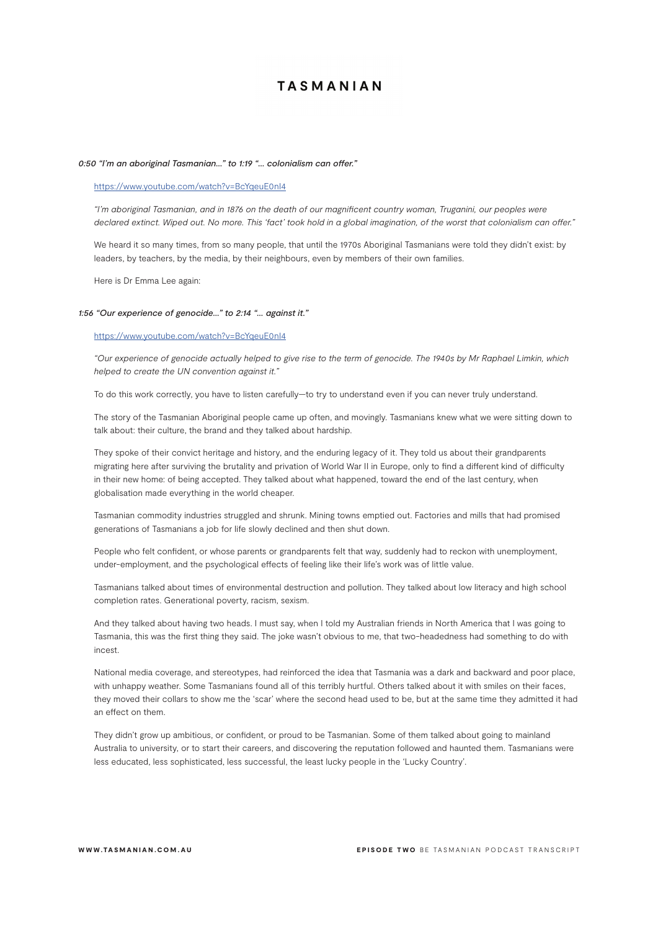#### *0:50 "I'm an aboriginal Tasmanian…" to 1:19 "… colonialism can offer."*

## https://www.youtube.com/watch?v=BcYqeuE0nI4

*"I'm aboriginal Tasmanian, and in 1876 on the death of our magnificent country woman, Truganini, our peoples were declared extinct. Wiped out. No more. This 'fact' took hold in a global imagination, of the worst that colonialism can offer."*

We heard it so many times, from so many people, that until the 1970s Aboriginal Tasmanians were told they didn't exist: by leaders, by teachers, by the media, by their neighbours, even by members of their own families.

Here is Dr Emma Lee again:

### *1:56 "Our experience of genocide…" to 2:14 "… against it."*

### https://www.youtube.com/watch?v=BcYqeuE0nI4

*"Our experience of genocide actually helped to give rise to the term of genocide. The 1940s by Mr Raphael Limkin, which helped to create the UN convention against it."*

To do this work correctly, you have to listen carefully—to try to understand even if you can never truly understand.

The story of the Tasmanian Aboriginal people came up often, and movingly. Tasmanians knew what we were sitting down to talk about: their culture, the brand and they talked about hardship.

They spoke of their convict heritage and history, and the enduring legacy of it. They told us about their grandparents migrating here after surviving the brutality and privation of World War II in Europe, only to find a different kind of difficulty in their new home: of being accepted. They talked about what happened, toward the end of the last century, when globalisation made everything in the world cheaper.

Tasmanian commodity industries struggled and shrunk. Mining towns emptied out. Factories and mills that had promised generations of Tasmanians a job for life slowly declined and then shut down.

People who felt confident, or whose parents or grandparents felt that way, suddenly had to reckon with unemployment, under-employment, and the psychological effects of feeling like their life's work was of little value.

Tasmanians talked about times of environmental destruction and pollution. They talked about low literacy and high school completion rates. Generational poverty, racism, sexism.

And they talked about having two heads. I must say, when I told my Australian friends in North America that I was going to Tasmania, this was the first thing they said. The joke wasn't obvious to me, that two-headedness had something to do with incest.

National media coverage, and stereotypes, had reinforced the idea that Tasmania was a dark and backward and poor place, with unhappy weather. Some Tasmanians found all of this terribly hurtful. Others talked about it with smiles on their faces, they moved their collars to show me the 'scar' where the second head used to be, but at the same time they admitted it had an effect on them.

They didn't grow up ambitious, or confident, or proud to be Tasmanian. Some of them talked about going to mainland Australia to university, or to start their careers, and discovering the reputation followed and haunted them. Tasmanians were less educated, less sophisticated, less successful, the least lucky people in the 'Lucky Country'.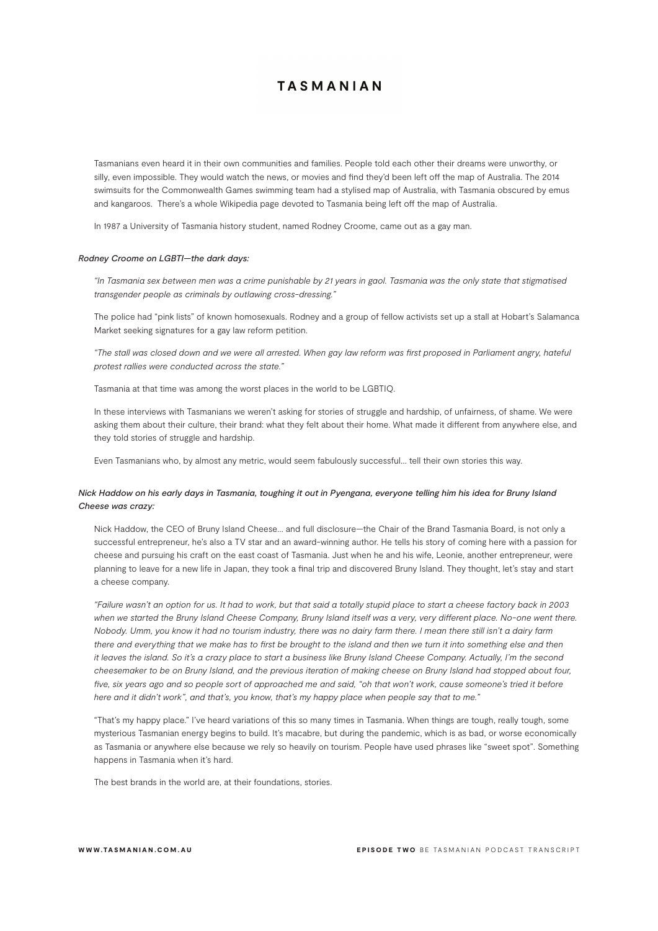Tasmanians even heard it in their own communities and families. People told each other their dreams were unworthy, or silly, even impossible. They would watch the news, or movies and find they'd been left off the map of Australia. The 2014 swimsuits for the Commonwealth Games swimming team had a stylised map of Australia, with Tasmania obscured by emus and kangaroos. There's a whole Wikipedia page devoted to Tasmania being left off the map of Australia.

In 1987 a University of Tasmania history student, named Rodney Croome, came out as a gay man.

#### *Rodney Croome on LGBTI—the dark days:*

*"In Tasmania sex between men was a crime punishable by 21 years in gaol. Tasmania was the only state that stigmatised transgender people as criminals by outlawing cross-dressing."*

The police had "pink lists" of known homosexuals. Rodney and a group of fellow activists set up a stall at Hobart's Salamanca Market seeking signatures for a gay law reform petition.

*"The stall was closed down and we were all arrested. When gay law reform was first proposed in Parliament angry, hateful protest rallies were conducted across the state."*

Tasmania at that time was among the worst places in the world to be LGBTIQ.

In these interviews with Tasmanians we weren't asking for stories of struggle and hardship, of unfairness, of shame. We were asking them about their culture, their brand: what they felt about their home. What made it different from anywhere else, and they told stories of struggle and hardship.

Even Tasmanians who, by almost any metric, would seem fabulously successful… tell their own stories this way.

# *Nick Haddow on his early days in Tasmania, toughing it out in Pyengana, everyone telling him his idea for Bruny Island Cheese was crazy:*

Nick Haddow, the CEO of Bruny Island Cheese… and full disclosure—the Chair of the Brand Tasmania Board, is not only a successful entrepreneur, he's also a TV star and an award-winning author. He tells his story of coming here with a passion for cheese and pursuing his craft on the east coast of Tasmania. Just when he and his wife, Leonie, another entrepreneur, were planning to leave for a new life in Japan, they took a final trip and discovered Bruny Island. They thought, let's stay and start a cheese company.

*"Failure wasn't an option for us. It had to work, but that said a totally stupid place to start a cheese factory back in 2003*  when we started the Bruny Island Cheese Company, Bruny Island itself was a very, very different place. No-one went there. *Nobody. Umm, you know it had no tourism industry, there was no dairy farm there. I mean there still isn't a dairy farm*  there and everything that we make has to first be brought to the island and then we turn it into something else and then *it leaves the island. So it's a crazy place to start a business like Bruny Island Cheese Company. Actually, I'm the second cheesemaker to be on Bruny Island, and the previous iteration of making cheese on Bruny Island had stopped about four, five, six years ago and so people sort of approached me and said, "oh that won't work, cause someone's tried it before here and it didn't work", and that's, you know, that's my happy place when people say that to me."*

"That's my happy place." I've heard variations of this so many times in Tasmania. When things are tough, really tough, some mysterious Tasmanian energy begins to build. It's macabre, but during the pandemic, which is as bad, or worse economically as Tasmania or anywhere else because we rely so heavily on tourism. People have used phrases like "sweet spot". Something happens in Tasmania when it's hard.

The best brands in the world are, at their foundations, stories.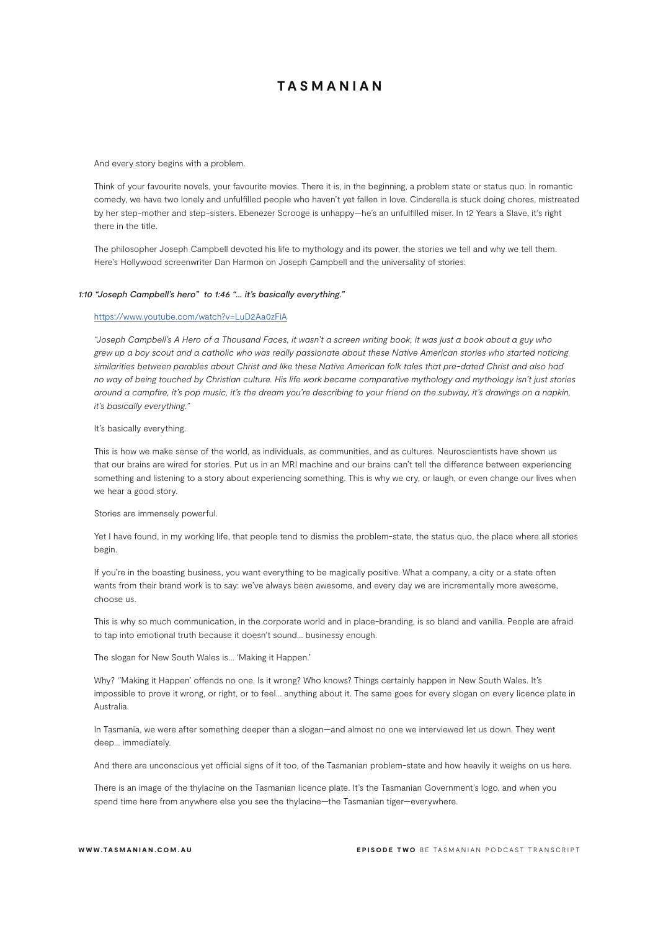And every story begins with a problem.

Think of your favourite novels, your favourite movies. There it is, in the beginning, a problem state or status quo. In romantic comedy, we have two lonely and unfulfilled people who haven't yet fallen in love. Cinderella is stuck doing chores, mistreated by her step-mother and step-sisters. Ebenezer Scrooge is unhappy—he's an unfulfilled miser. In 12 Years a Slave, it's right there in the title.

The philosopher Joseph Campbell devoted his life to mythology and its power, the stories we tell and why we tell them. Here's Hollywood screenwriter Dan Harmon on Joseph Campbell and the universality of stories:

### *1:10 "Joseph Campbell's hero" to 1:46 "… it's basically everything."*

#### https://www.youtube.com/watch?v=LuD2Aa0zFiA

*"Joseph Campbell's A Hero of a Thousand Faces, it wasn't a screen writing book, it was just a book about a guy who grew up a boy scout and a catholic who was really passionate about these Native American stories who started noticing similarities between parables about Christ and like these Native American folk tales that pre-dated Christ and also had no way of being touched by Christian culture. His life work became comparative mythology and mythology isn't just stories around a campfire, it's pop music, it's the dream you're describing to your friend on the subway, it's drawings on a napkin, it's basically everything."*

## It's basically everything.

This is how we make sense of the world, as individuals, as communities, and as cultures. Neuroscientists have shown us that our brains are wired for stories. Put us in an MRI machine and our brains can't tell the difference between experiencing something and listening to a story about experiencing something. This is why we cry, or laugh, or even change our lives when we hear a good story.

#### Stories are immensely powerful.

Yet I have found, in my working life, that people tend to dismiss the problem-state, the status quo, the place where all stories begin.

If you're in the boasting business, you want everything to be magically positive. What a company, a city or a state often wants from their brand work is to say: we've always been awesome, and every day we are incrementally more awesome, choose us.

This is why so much communication, in the corporate world and in place-branding, is so bland and vanilla. People are afraid to tap into emotional truth because it doesn't sound… businessy enough.

The slogan for New South Wales is… 'Making it Happen.'

Why? ''Making it Happen' offends no one. Is it wrong? Who knows? Things certainly happen in New South Wales. It's impossible to prove it wrong, or right, or to feel… anything about it. The same goes for every slogan on every licence plate in Australia.

In Tasmania, we were after something deeper than a slogan—and almost no one we interviewed let us down. They went deep… immediately.

And there are unconscious yet official signs of it too, of the Tasmanian problem-state and how heavily it weighs on us here.

There is an image of the thylacine on the Tasmanian licence plate. It's the Tasmanian Government's logo, and when you spend time here from anywhere else you see the thylacine—the Tasmanian tiger—everywhere.